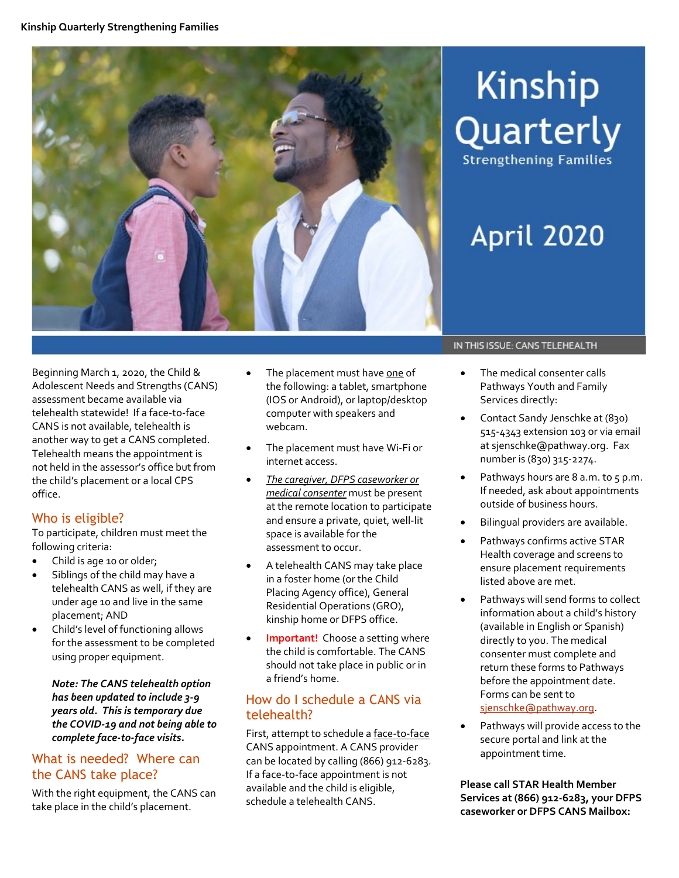

# Kinship Quarterly **Strengthening Families**

# April 2020

Beginning March 1, 2020, the Child & Adolescent Needs and Strengths (CANS) assessment became available via telehealth statewide! If a face-to-face CANS is not available, telehealth is another way to get a CANS completed. Telehealth means the appointment is not held in the assessor's office but from the child's placement or a local CPS office.

# Who is eligible?

To participate, children must meet the following criteria:

- Child is age 10 or older;
- Siblings of the child may have a telehealth CANS as well, if they are under age 10 and live in the same placement; AND
- Child's level of functioning allows for the assessment to be completed using proper equipment.

*Note: The CANS telehealth option has been updated to include 3-9 years old. This is temporary due the COVID-19 and not being able to complete face-to-face visits.*

# What is needed? Where can the CANS take place?

With the right equipment, the CANS can take place in the child's placement.

- The placement must have one of the following: a tablet, smartphone (IOS or Android), or laptop/desktop computer with speakers and webcam.
- The placement must have Wi-Fi or internet access.
- *The caregiver, DFPS caseworker or medical consenter* must be present at the remote location to participate and ensure a private, quiet, well-lit space is available for the assessment to occur.
- A telehealth CANS may take place in a foster home (or the Child Placing Agency office), General Residential Operations (GRO), kinship home or DFPS office.
- **Important!** Choose a setting where the child is comfortable. The CANS should not take place in public or in a friend's home.

# How do I schedule a CANS via telehealth?

First, attempt to schedule a face-to-face CANS appointment. A CANS provider can be located by calling (866) 912-6283. If a face-to-face appointment is not available and the child is eligible, schedule a telehealth CANS.

#### IN THIS ISSUE: CANS TELEHEALTH

- The medical consenter calls Pathways Youth and Family Services directly:
- Contact Sandy Jenschke at (830) 515-4343 extension 103 or via email at sjenschke@pathway.org. Fax number is (830) 315-2274.
- Pathways hours are  $8$  a.m. to  $5$  p.m. If needed, ask about appointments outside of business hours.
- Bilingual providers are available.
- Pathways confirms active STAR Health coverage and screens to ensure placement requirements listed above are met.
- Pathways will send forms to collect information about a child's history (available in English or Spanish) directly to you. The medical consenter must complete and return these forms to Pathways before the appointment date. Forms can be sent to [sjenschke@pathway.org.](mailto:sjenschke@pathway.org)
- Pathways will provide access to the secure portal and link at the appointment time.

**Please call STAR Health Member Services at (866) 912-6283, your DFPS caseworker or DFPS CANS Mailbox:**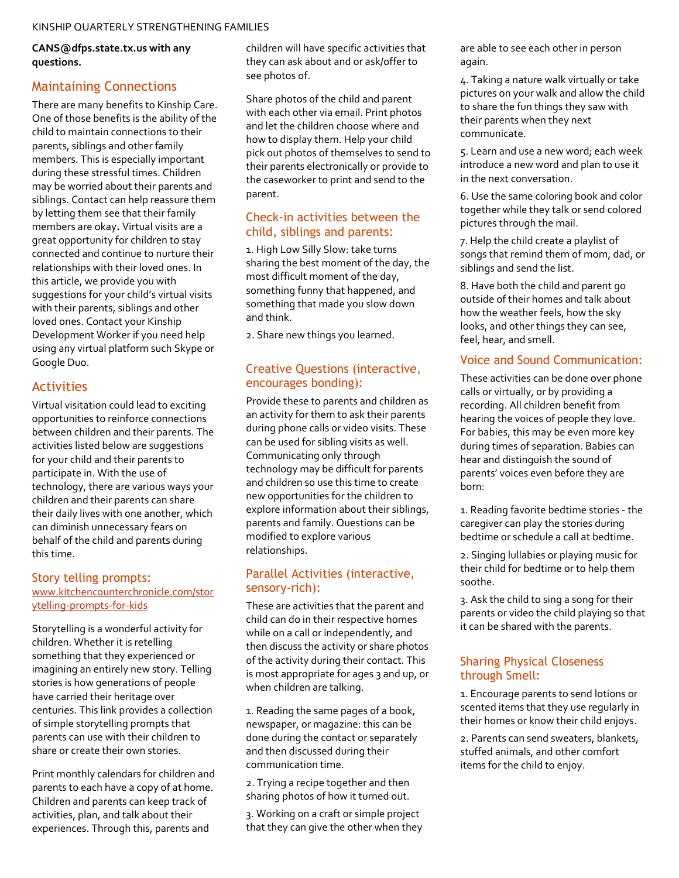**CANS@dfps.state.tx.us with any questions.** 

### Maintaining Connections

There are many benefits to Kinship Care. One of those benefits is the ability of the child to maintain connections to their parents, siblings and other family members. This is especially important during these stressful times. Children may be worried about their parents and siblings. Contact can help reassure them by letting them see that their family members are okay**.** Virtual visits are a great opportunity for children to stay connected and continue to nurture their relationships with their loved ones. In this article, we provide you with suggestions for your child's virtual visits with their parents, siblings and other loved ones. Contact your Kinship Development Worker if you need help using any virtual platform such Skype or Google Duo.

#### Activities

Virtual visitation could lead to exciting opportunities to reinforce connections between children and their parents. The activities listed below are suggestions for your child and their parents to participate in. With the use of technology, there are various ways your children and their parents can share their daily lives with one another, which can diminish unnecessary fears on behalf of the child and parents during this time.

#### Story telling prompts: [www.kitchencounterchronicle.com/stor](http://www.kitchencounterchronicle.com/storytelling-prompts-for-kids) [ytelling-prompts-for-kids](http://www.kitchencounterchronicle.com/storytelling-prompts-for-kids)

Storytelling is a wonderful activity for children. Whether it is retelling something that they experienced or imagining an entirely new story. Telling stories is how generations of people have carried their heritage over centuries. This link provides a collection of simple storytelling prompts that parents can use with their children to share or create their own stories.

Print monthly calendars for children and parents to each have a copy of at home. Children and parents can keep track of activities, plan, and talk about their experiences. Through this, parents and

children will have specific activities that they can ask about and or ask/offer to see photos of.

Share photos of the child and parent with each other via email. Print photos and let the children choose where and how to display them. Help your child pick out photos of themselves to send to their parents electronically or provide to the caseworker to print and send to the parent.

#### Check-in activities between the child, siblings and parents:

1. High Low Silly Slow: take turns sharing the best moment of the day, the most difficult moment of the day, something funny that happened, and something that made you slow down and think.

2. Share new things you learned.

#### Creative Questions (interactive, encourages bonding):

Provide these to parents and children as an activity for them to ask their parents during phone calls or video visits. These can be used for sibling visits as well. Communicating only through technology may be difficult for parents and children so use this time to create new opportunities for the children to explore information about their siblings, parents and family. Questions can be modified to explore various relationships.

#### Parallel Activities (interactive, sensory-rich):

These are activities that the parent and child can do in their respective homes while on a call or independently, and then discuss the activity or share photos of the activity during their contact. This is most appropriate for ages 3 and up, or when children are talking.

1. Reading the same pages of a book, newspaper, or magazine: this can be done during the contact or separately and then discussed during their communication time.

2. Trying a recipe together and then sharing photos of how it turned out.

3. Working on a craft or simple project that they can give the other when they are able to see each other in person again.

4. Taking a nature walk virtually or take pictures on your walk and allow the child to share the fun things they saw with their parents when they next communicate.

5. Learn and use a new word; each week introduce a new word and plan to use it in the next conversation.

6. Use the same coloring book and color together while they talk or send colored pictures through the mail.

7. Help the child create a playlist of songs that remind them of mom, dad, or siblings and send the list.

8. Have both the child and parent go outside of their homes and talk about how the weather feels, how the sky looks, and other things they can see, feel, hear, and smell.

### Voice and Sound Communication:

These activities can be done over phone calls or virtually, or by providing a recording. All children benefit from hearing the voices of people they love. For babies, this may be even more key during times of separation. Babies can hear and distinguish the sound of parents' voices even before they are born:

1. Reading favorite bedtime stories - the caregiver can play the stories during bedtime or schedule a call at bedtime.

2. Singing lullabies or playing music for their child for bedtime or to help them soothe.

3. Ask the child to sing a song for their parents or video the child playing so that it can be shared with the parents.

#### Sharing Physical Closeness through Smell:

1. Encourage parents to send lotions or scented items that they use regularly in their homes or know their child enjoys.

2. Parents can send sweaters, blankets, stuffed animals, and other comfort items for the child to enjoy.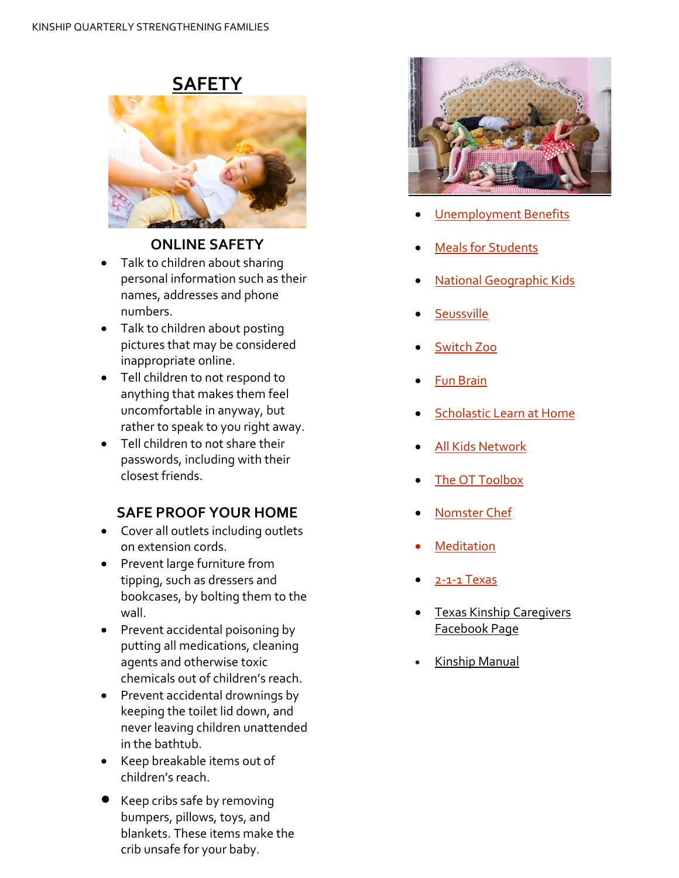



# **ONLINE SAFETY**

- Talk to children about sharing personal information such as their names, addresses and phone numbers.
- Talk to children about posting pictures that may be considered inappropriate online.
- Tell children to not respond to anything that makes them feel uncomfortable in anyway, but rather to speak to you right away.
- Tell children to not share their passwords, including with their closest friends.

# **SAFE PROOF YOUR HOME**

- Cover all outlets including outlets on extension cords.
- Prevent large furniture from tipping, such as dressers and bookcases, by bolting them to the wall.
- Prevent accidental poisoning by putting all medications, cleaning agents and otherwise toxic chemicals out of children's reach.
- Prevent accidental drownings by keeping the toilet lid down, and never leaving children unattended in the bathtub.
- Keep breakable items out of children's reach.
- Keep cribs safe by removing bumpers, pillows, toys, and blankets. These items make the crib unsafe for your baby.



- **[Unemployment Benefits](https://www.twc.texas.gov/jobseekers/applying-unemployment-benefits)**
- **[Meals for Students](https://txschools.gov/)**
- [National Geographic Kids](https://kids.nationalgeographic.com/)
- **[Seussville](https://www.seussville.com/)**
- [Switch Zoo](https://www.switchzoo.com/)
- [Fun Brain](https://www.funbrain.com/)
- [Scholastic Learn at Home](https://classroommagazines.scholastic.com/support/learnathome.html)
- [All Kids Network](https://www.allkidsnetwork.com/)
- [The OT Toolbox](https://www.theottoolbox.com/)
- [Nomster Chef](https://www.nomsterchef.com/nomster-recipe-library)
- **[Meditation](https://www.psychologytoday.com/us/blog/balanced/201907/meditation-and-mental-health)**
- [2-1-1 Texas](https://www.211texas.org/)
- **[Texas Kinship Caregivers](https://www.facebook.com/TexasKinshipCaregivers)** [Facebook Page](https://www.facebook.com/TexasKinshipCaregivers)
- [Kinship Manual](https://www.dfps.state.tx.us/Child_Protection/Kinship_Care/documents/KinshipManual.pdf)